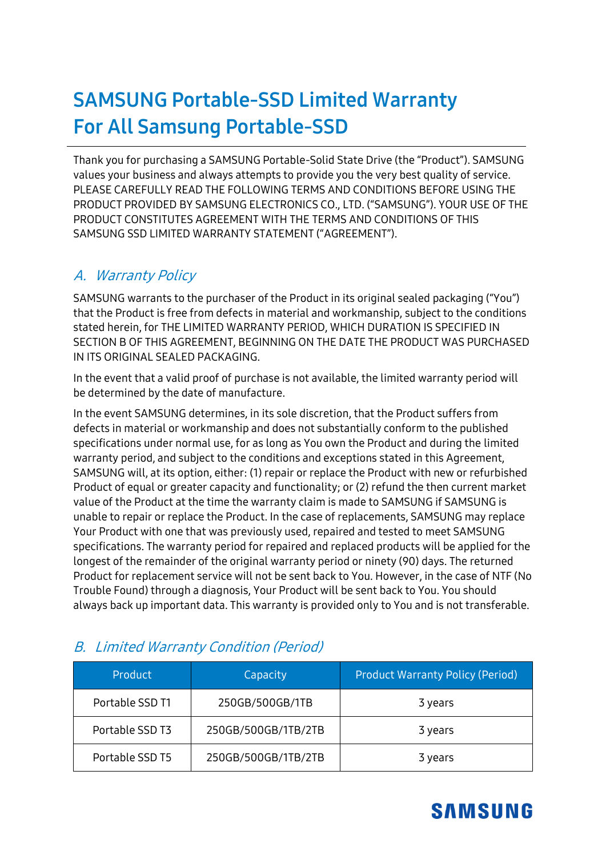# **SAMSUNG Portable-SSD Limited Warranty For All Samsung Portable-SSD**

Thank you for purchasing a SAMSUNG Portable-Solid State Drive (the "Product"). SAMSUNG values your business and always attempts to provide you the very best quality of service. PLEASE CAREFULLY READ THE FOLLOWING TERMS AND CONDITIONS BEFORE USING THE PRODUCT PROVIDED BY SAMSUNG ELECTRONICS CO., LTD. ("SAMSUNG"). YOUR USE OF THE PRODUCT CONSTITUTES AGREEMENT WITH THE TERMS AND CONDITIONS OF THIS SAMSUNG SSD LIMITED WARRANTY STATEMENT ("AGREEMENT").

### A. Warranty Policy

SAMSUNG warrants to the purchaser of the Product in its original sealed packaging ("You") that the Product is free from defects in material and workmanship, subject to the conditions stated herein, for THE LIMITED WARRANTY PERIOD, WHICH DURATION IS SPECIFIED IN SECTION B OF THIS AGREEMENT, BEGINNING ON THE DATE THE PRODUCT WAS PURCHASED IN ITS ORIGINAL SEALED PACKAGING.

In the event that a valid proof of purchase is not available, the limited warranty period will be determined by the date of manufacture.

In the event SAMSUNG determines, in its sole discretion, that the Product suffers from defects in material or workmanship and does not substantially conform to the published specifications under normal use, for as long as You own the Product and during the limited warranty period, and subject to the conditions and exceptions stated in this Agreement, SAMSUNG will, at its option, either: (1) repair or replace the Product with new or refurbished Product of equal or greater capacity and functionality; or (2) refund the then current market value of the Product at the time the warranty claim is made to SAMSUNG if SAMSUNG is unable to repair or replace the Product. In the case of replacements, SAMSUNG may replace Your Product with one that was previously used, repaired and tested to meet SAMSUNG specifications. The warranty period for repaired and replaced products will be applied for the longest of the remainder of the original warranty period or ninety (90) days. The returned Product for replacement service will not be sent back to You. However, in the case of NTF (No Trouble Found) through a diagnosis, Your Product will be sent back to You. You should always back up important data. This warranty is provided only to You and is not transferable.

| <b>Product</b>  | Capacity            | <b>Product Warranty Policy (Period)</b> |  |
|-----------------|---------------------|-----------------------------------------|--|
| Portable SSD T1 | 250GB/500GB/1TB     | 3 years                                 |  |
| Portable SSD T3 | 250GB/500GB/1TB/2TB | 3 years                                 |  |
| Portable SSD T5 | 250GB/500GB/1TB/2TB | 3 years                                 |  |

### B. Limited Warranty Condition (Period)

## **SAMSUNG**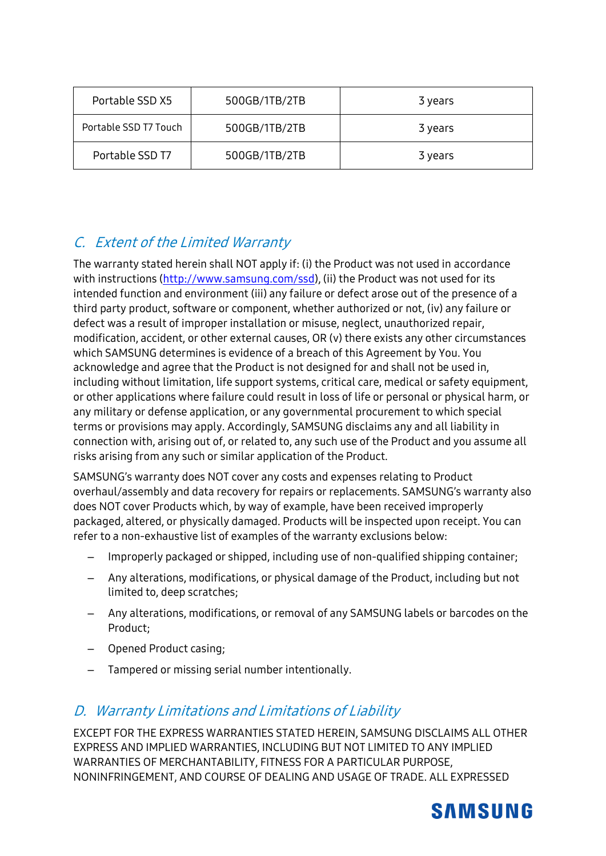| Portable SSD X5       | 500GB/1TB/2TB            | 3 years |  |
|-----------------------|--------------------------|---------|--|
| Portable SSD T7 Touch | 500GB/1TB/2TB<br>3 years |         |  |
| Portable SSD T7       | 500GB/1TB/2TB            | 3 years |  |

### C. Extent of the Limited Warranty

The warranty stated herein shall NOT apply if: (i) the Product was not used in accordance with instructions [\(http://www.samsung.com/ssd\)](http://www.samsung.com/portable-ssd), (ii) the Product was not used for its intended function and environment (iii) any failure or defect arose out of the presence of a third party product, software or component, whether authorized or not, (iv) any failure or defect was a result of improper installation or misuse, neglect, unauthorized repair, modification, accident, or other external causes, OR (v) there exists any other circumstances which SAMSUNG determines is evidence of a breach of this Agreement by You. You acknowledge and agree that the Product is not designed for and shall not be used in, including without limitation, life support systems, critical care, medical or safety equipment, or other applications where failure could result in loss of life or personal or physical harm, or any military or defense application, or any governmental procurement to which special terms or provisions may apply. Accordingly, SAMSUNG disclaims any and all liability in connection with, arising out of, or related to, any such use of the Product and you assume all risks arising from any such or similar application of the Product.

SAMSUNG's warranty does NOT cover any costs and expenses relating to Product overhaul/assembly and data recovery for repairs or replacements. SAMSUNG's warranty also does NOT cover Products which, by way of example, have been received improperly packaged, altered, or physically damaged. Products will be inspected upon receipt. You can refer to a non-exhaustive list of examples of the warranty exclusions below:

- Improperly packaged or shipped, including use of non-qualified shipping container;
- Any alterations, modifications, or physical damage of the Product, including but not limited to, deep scratches;
- Any alterations, modifications, or removal of any SAMSUNG labels or barcodes on the Product;
- Opened Product casing;
- Tampered or missing serial number intentionally.

#### D. Warranty Limitations and Limitations of Liability

EXCEPT FOR THE EXPRESS WARRANTIES STATED HEREIN, SAMSUNG DISCLAIMS ALL OTHER EXPRESS AND IMPLIED WARRANTIES, INCLUDING BUT NOT LIMITED TO ANY IMPLIED WARRANTIES OF MERCHANTABILITY, FITNESS FOR A PARTICULAR PURPOSE, NONINFRINGEMENT, AND COURSE OF DEALING AND USAGE OF TRADE. ALL EXPRESSED

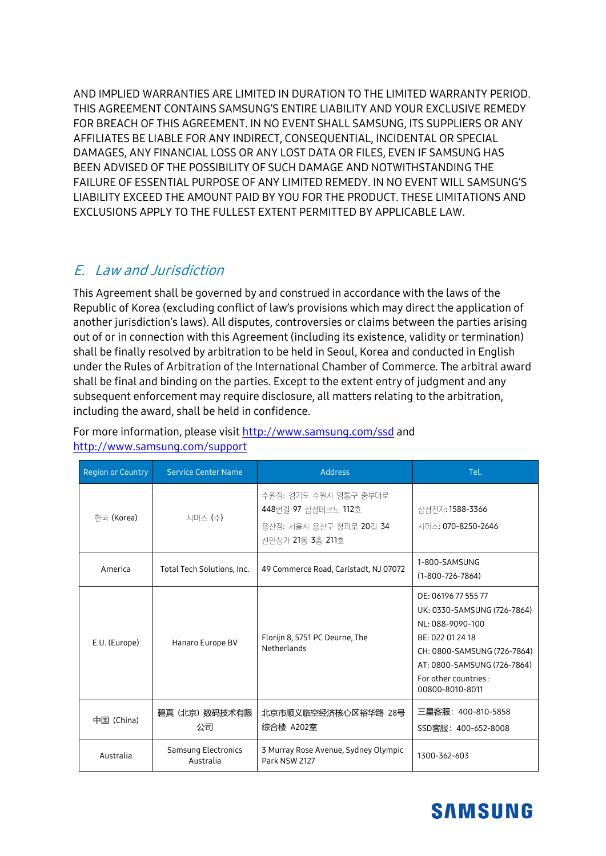AND IMPLIED WARRANTIES ARE LIMITED IN DURATION TO THE LIMITED WARRANTY PERIOD. THIS AGREEMENT CONTAINS SAMSUNG'S ENTIRE LIABILITY AND YOUR EXCLUSIVE REMEDY FOR BREACH OF THIS AGREEMENT. IN NO EVENT SHALL SAMSUNG, ITS SUPPLIERS OR ANY AFFILIATES BE LIABLE FOR ANY INDIRECT, CONSEQUENTIAL, INCIDENTAL OR SPECIAL DAMAGES, ANY FINANCIAL LOSS OR ANY LOST DATA OR FILES, EVEN IF SAMSUNG HAS BEEN ADVISED OF THE POSSIBILITY OF SUCH DAMAGE AND NOTWITHSTANDING THE FAILURE OF ESSENTIAL PURPOSE OF ANY LIMITED REMEDY. IN NO EVENT WILL SAMSUNG'S LIABILITY EXCEED THE AMOUNT PAID BY YOU FOR THE PRODUCT. THESE LIMITATIONS AND EXCLUSIONS APPLY TO THE FULLEST EXTENT PERMITTED BY APPLICABLE LAW.

#### E. Law and Jurisdiction

This Agreement shall be governed by and construed in accordance with the laws of the Republic of Korea (excluding conflict of law's provisions which may direct the application of another jurisdiction's laws). All disputes, controversies or claims between the parties arising out of or in connection with this Agreement (including its existence, validity or termination) shall be finally resolved by arbitration to be held in Seoul, Korea and conducted in English under the Rules of Arbitration of the International Chamber of Commerce. The arbitral award shall be final and binding on the parties. Except to the extent entry of judgment and any subsequent enforcement may require disclosure, all matters relating to the arbitration, including the award, shall be held in confidence.

| Region or Country | <b>Service Center Name</b>       | <b>Address</b>                                                                              | Tel.                                                                                                                                                                                                 |
|-------------------|----------------------------------|---------------------------------------------------------------------------------------------|------------------------------------------------------------------------------------------------------------------------------------------------------------------------------------------------------|
| 한국 (Korea)        | 시머스 (주)                          | 수원점: 경기도 수원시 영통구 중부대로<br>448번길 97 삼성테크노 112호<br>용산점: 서울시 용산구 청파로 20길 34<br>선인상가 21동 3층 211호 | 삼성전자: 1588-3366<br>시머스: 070-8250-2646                                                                                                                                                                |
| America           | Total Tech Solutions, Inc.       | 49 Commerce Road, Carlstadt, NJ 07072                                                       | 1-800-SAMSUNG<br>$(1-800-726-7864)$                                                                                                                                                                  |
| E.U. (Europe)     | Hanaro Europe BV                 | Florijn 8, 5751 PC Deurne, The<br>Netherlands                                               | DE: 06196 77 555 77<br>UK: 0330-SAMSUNG (726-7864)<br>NL: 088-9090-100<br>BE: 022 01 24 18<br>CH: 0800-SAMSUNG (726-7864)<br>AT: 0800-SAMSUNG (726-7864)<br>For other countries :<br>00800-8010-8011 |
| 中国 (China)        | 碧真 (北京) 数码技术有限<br>公司             | 北京市顺义临空经济核心区裕华路 28号<br>综合楼 A202室                                                            | 三星客服: 400-810-5858<br>SSD客服: 400-652-8008                                                                                                                                                            |
| Australia         | Samsung Electronics<br>Australia | 3 Murray Rose Avenue, Sydney Olympic<br>Park NSW 2127                                       | 1300-362-603                                                                                                                                                                                         |

For more information, please visit [http://www.samsung.com/ssd](http://www.samsung.com/portable-ssd) and <http://www.samsung.com/support>

## **SAMSUNG**